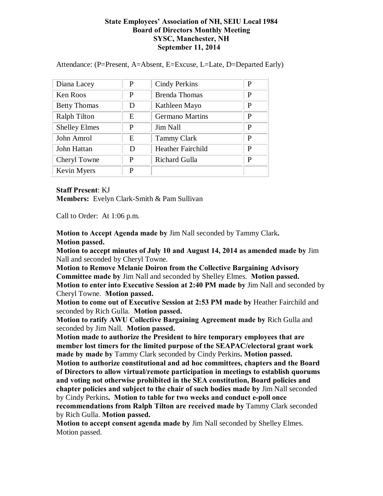## **State Employees' Association of NH, SEIU Local 1984 Board of Directors Monthly Meeting SYSC, Manchester, NH September 11, 2014**

Attendance: (P=Present, A=Absent, E=Excuse, L=Late, D=Departed Early)

| Diana Lacey          | P | <b>Cindy Perkins</b>     | P |
|----------------------|---|--------------------------|---|
| Ken Roos             | P | <b>Brenda Thomas</b>     | P |
| <b>Betty Thomas</b>  | D | Kathleen Mayo            | P |
| <b>Ralph Tilton</b>  | E | <b>Germano Martins</b>   | P |
| <b>Shelley Elmes</b> | P | Jim Nall                 | P |
| John Amrol           | E | <b>Tammy Clark</b>       | P |
| John Hattan          | D | <b>Heather Fairchild</b> | P |
| Cheryl Towne         | P | Richard Gulla            | P |
| Kevin Myers          | P |                          |   |

**Staff Present**: KJ

**Members:** Evelyn Clark-Smith & Pam Sullivan

Call to Order: At 1:06 p.m.

**Motion to Accept Agenda made by** Jim Nall seconded by Tammy Clark**. Motion passed.**

**Motion to accept minutes of July 10 and August 14, 2014 as amended made by** Jim Nall and seconded by Cheryl Towne.

**Motion to Remove Melanie Doiron from the Collective Bargaining Advisory Committee made by** Jim Nall and seconded by Shelley Elmes. **Motion passed. Motion to enter into Executive Session at 2:40 PM made by** Jim Nall and seconded by Cheryl Towne. **Motion passed.**

**Motion to come out of Executive Session at 2:53 PM made by** Heather Fairchild and seconded by Rich Gulla. **Motion passed.**

**Motion to ratify AWU Collective Bargaining Agreement made by** Rich Gulla and seconded by Jim Nall. **Motion passed.** 

**Motion made to authorize the President to hire temporary employees that are member lost timers for the limited purpose of the SEAPAC/electoral grant work made by made by** Tammy Clark seconded by Cindy Perkins**. Motion passed.**

**Motion to authorize constitutional and ad hoc committees, chapters and the Board of Directors to allow virtual/remote participation in meetings to establish quorums and voting not otherwise prohibited in the SEA constitution, Board policies and chapter policies and subject to the chair of such bodies made by** Jim Nall seconded by Cindy Perkins**. Motion to table for two weeks and conduct e-poll once recommendations from Ralph Tilton are received made by** Tammy Clark seconded by Rich Gulla. **Motion passed.**

**Motion to accept consent agenda made by** Jim Nall seconded by Shelley Elmes. Motion passed.